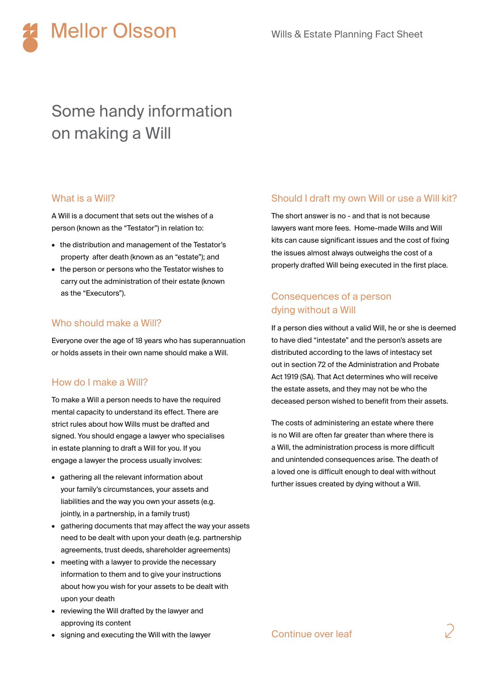

# Some handy information on making a Will

#### What is a Will?

A Will is a document that sets out the wishes of a person (known as the "Testator") in relation to:

- the distribution and management of the Testator's property after death (known as an "estate"); and
- the person or persons who the Testator wishes to carry out the administration of their estate (known as the "Executors").

#### Who should make a Will?

Everyone over the age of 18 years who has superannuation or holds assets in their own name should make a Will.

#### How do I make a Will?

To make a Will a person needs to have the required mental capacity to understand its effect. There are strict rules about how Wills must be drafted and signed. You should engage a lawyer who specialises in estate planning to draft a Will for you. If you engage a lawyer the process usually involves:

- gathering all the relevant information about your family's circumstances, your assets and liabilities and the way you own your assets (e.g. jointly, in a partnership, in a family trust)
- gathering documents that may affect the way your assets need to be dealt with upon your death (e.g. partnership agreements, trust deeds, shareholder agreements)
- meeting with a lawyer to provide the necessary information to them and to give your instructions about how you wish for your assets to be dealt with upon your death
- reviewing the Will drafted by the lawyer and approving its content
- signing and executing the Will with the lawyer

#### Should I draft my own Will or use a Will kit?

The short answer is no - and that is not because lawyers want more fees. Home-made Wills and Will kits can cause significant issues and the cost of fixing the issues almost always outweighs the cost of a properly drafted Will being executed in the first place.

## Consequences of a person dying without a Will

If a person dies without a valid Will, he or she is deemed to have died "intestate" and the person's assets are distributed according to the laws of intestacy set out in section 72 of the Administration and Probate Act 1919 (SA). That Act determines who will receive the estate assets, and they may not be who the deceased person wished to benefit from their assets.

The costs of administering an estate where there is no Will are often far greater than where there is a Will, the administration process is more difficult and unintended consequences arise. The death of a loved one is difficult enough to deal with without further issues created by dying without a Will.